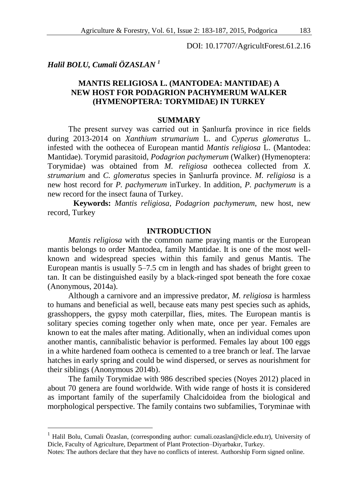DOI: 10.17707/AgricultForest.61.2.16

# *Halil BOLU, Cumali ÖZASLAN <sup>1</sup>*

1

# **MANTIS RELIGIOSA L. (MANTODEA: MANTIDAE) A NEW HOST FOR PODAGRION PACHYMERUM WALKER (HYMENOPTERA: TORYMIDAE) IN TURKEY**

### **SUMMARY**

The present survey was carried out in Şanlıurfa province in rice fields during 2013-2014 on *Xanthium strumarium* L. and *Cyperus glomeratus* L. infested with the oothecea of European mantid *Mantis religiosa* L. (Mantodea: Mantidae). Torymid parasitoid, *Podagrion pachymerum* (Walker) (Hymenoptera: Torymidae) was obtained from *M. religiosa* oothecea collected from *X. strumarium* and *C. glomeratus* species in Şanlıurfa province. *M. religiosa* is a new host record for *P. pachymerum* inTurkey. In addition, *P. pachymerum* is a new record for the insect fauna of Turkey.

**Keywords:** *Mantis religiosa*, *Podagrion pachymerum*, new host, new record, Turkey

### **INTRODUCTION**

*Mantis religiosa* with the common name praying mantis or the European mantis belongs to order Mantodea, family [Mantidae.](http://en.wikipedia.org/wiki/Mantidae) It is one of the most wellknown and widespread species within this family and genus Mantis. The European mantis is usually 5–7.5 cm in length and has shades of bright green to tan. It can be distinguished easily by a black-ringed spot beneath the fore [coxae](http://en.wikipedia.org/wiki/Arthropod_leg) (Anonymous, 2014a).

Although a carnivore and an impressive predator, *M. religiosa* is harmless to humans and beneficial as well, because eats many pest species such as aphids, grasshoppers, the gypsy moth caterpillar, flies, mites. The European mantis is solitary species coming together only when mate, once per year. Females are known to eat the males after mating. Aditionally, when an individual comes upon another mantis, cannibalistic behavior is performed. Females lay about 100 eggs in a white hardened foam ootheca is cemented to a tree branch or leaf. The larvae hatches in early spring and could be wind dispersed, or serves as nourishment for their siblings (Anonymous 2014b).

The family Torymidae with 986 described species (Noyes 2012) placed in about 70 genera are found worldwide. With wide range of hosts it is considered as important family of the superfamily Chalcidoidea from the biological and morphological perspective. The family contains two subfamilies, Toryminae with

<sup>1</sup> Halil Bolu, Cumali Özaslan, (corresponding author: cumali.ozaslan@dicle.edu.tr), University of Dicle, Faculty of Agriculture, Department of Plant Protection–Diyarbakır, Turkey.

Notes: The authors declare that they have no conflicts of interest. Authorship Form signed online.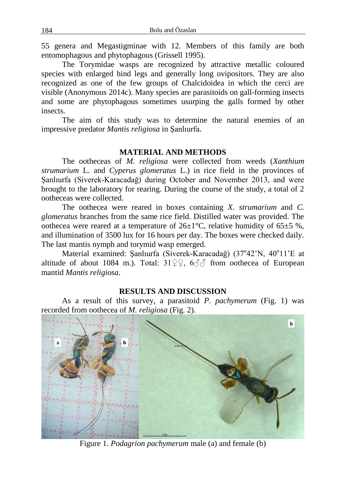55 genera and Megastigminae with 12. Members of this family are both entomophagous and phytophagous (Grissell 1995).

The Torymidae [wasps](http://en.wikipedia.org/wiki/Wasps) are recognized by attractive metallic coloured species with enlarged hind legs and generally long ovipositors. They are also recognized as one of the few groups of Chalcidoidea in which the cerci are visible (Anonymous 2014c). Many species are [parasitoids](http://en.wikipedia.org/wiki/Parasitoid) on [gall-](http://en.wikipedia.org/wiki/Gall)forming insects and some are [phytophagous](http://en.wikipedia.org/wiki/Phytophagy) sometimes usurping the galls formed by other insects.

The aim of this study was to determine the natural enemies of an impressive predator *Mantis religiosa* in Şanlıurfa.

## **MATERIAL AND METHODS**

The ootheceas of *M. religiosa* were collected from weeds (*Xanthium strumarium* L. and *Cyperus glomeratus* L.) in rice field in the provinces of Şanlıurfa (Siverek-Karacadağ) during October and November 2013, and were brought to the laboratory for rearing. During the course of the study, a total of 2 ootheceas were collected.

The oothecea were reared in boxes containing *X. strumarium* and *C. glomeratus* branches from the same rice field. Distilled water was provided. The oothecea were reared at a temperature of  $26\pm1^{\circ}$ C, relative humidity of  $65\pm5$ %, and illumination of 3500 lux for 16 hours per day. The boxes were checked daily. The last mantis nymph and torymid wasp emerged.

Material examined: Şanlıurfa (Siverek-Karacadağ) (37°42'N, 40°11'E at altitude of about 1084 m.). Total:  $31\degree 9$ ,  $6\degree 7$  from oothecea of European mantid *Mantis religiosa.*

### **RESULTS AND DISCUSSION**

As a result of this survey, a parasitoid *P. pachymerum* (Fig. 1) was recorded from oothecea of *M. religiosa* (Fig. 2).



Figure 1. *Podagrion pachymerum* male (a) and female (b)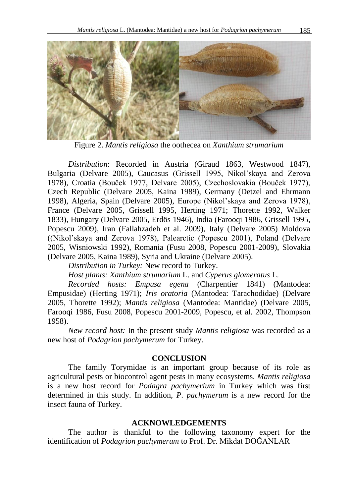

Figure 2. *Mantis religiosa* the oothecea on *Xanthium strumarium*

*Distribution*: Recorded in Austria (Giraud 1863, Westwood 1847), Bulgaria (Delvare 2005), Caucasus (Grissell 1995, Nikol'skaya and Zerova 1978), Croatia (Bouček 1977, Delvare 2005), Czechoslovakia (Bouček 1977), Czech Republic (Delvare 2005, Kaina 1989), Germany (Detzel and Ehrmann 1998), Algeria, Spain (Delvare 2005), Europe (Nikol'skaya and Zerova 1978), France (Delvare 2005, Grissell 1995, Herting 1971; Thorette 1992, Walker 1833), Hungary (Delvare 2005, Erdös 1946), India (Farooqi 1986, Grissell 1995, Popescu 2009), Iran (Fallahzadeh et al. 2009), Italy (Delvare 2005) Moldova ((Nikol'skaya and Zerova 1978), Palearctic (Popescu 2001), Poland (Delvare 2005, Wisniowski 1992), Romania (Fusu 2008, Popescu 2001-2009), Slovakia (Delvare 2005, Kaina 1989), Syria and Ukraine (Delvare 2005).

*Distribution in Turkey:* New record to Turkey.

*Host plants: Xanthium strumarium* L. and *Cyperus glomeratus* L.

*Recorded hosts: Empusa egena* (Charpentier 1841) (Mantodea: Empusidae) (Herting 1971); *Iris oratoria* (Mantodea: Tarachodidae) (Delvare 2005, Thorette 1992); *Mantis religiosa* (Mantodea: Mantidae) (Delvare 2005, Farooqi 1986, Fusu 2008, Popescu 2001-2009, Popescu, et al. 2002, Thompson 1958).

*New record host:* In the present study *Mantis religiosa* was recorded as a new host of *Podagrion pachymerum* for Turkey.

### **CONCLUSION**

The family Torymidae is an important group because of its role as agricultural pests or biocontrol agent pests in many ecosystems. *Mantis religiosa*  is a new host record for *Podagra pachymerium* in Turkey which was first determined in this study. In addition, *P. pachymerum* is a new record for the insect fauna of Turkey.

### **ACKNOWLEDGEMENTS**

The author is thankful to the following taxonomy expert for the identification of *Podagrion pachymerum* to Prof. Dr. Mikdat DOĞANLAR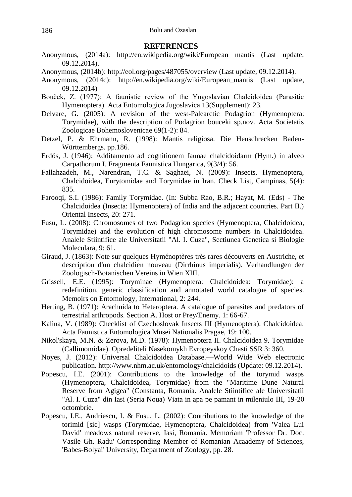### **REFERENCES**

- Anonymous, (2014a): http://en.wikipedia.org/wiki/European mantis (Last update, 09.12.2014).
- Anonymous, (2014b): http://eol.org/pages/487055/overview (Last update, 09.12.2014).
- Anonymous, (2014c): http://en.wikipedia.org/wiki/European\_mantis (Last update, 09.12.2014)
- Bouček, Z. (1977): A faunistic review of the Yugoslavian Chalcidoidea (Parasitic Hymenoptera). Acta Entomologica Jugoslavica 13(Supplement): 23.
- Delvare, G. (2005): A revision of the west-Palearctic Podagrion (Hymenoptera: Torymidae), with the description of Podagrion bouceki sp.nov. Acta Societatis Zoologicae Bohemoslovenicae 69(1-2): 84.
- Detzel, P. & Ehrmann, R. (1998): Mantis religiosa. Die Heuschrecken Baden-Württembergs. pp.186.
- Erdös, J. (1946): Additamento ad cognitionem faunae chalcidoidarm (Hym.) in alveo Carpathorum I. Fragmenta Faunistica Hungarica, 9(3/4): 56.
- Fallahzadeh, M., Narendran, T.C. & Saghaei, N. (2009): Insects, Hymenoptera, Chalcidoidea, Eurytomidae and Torymidae in Iran. Check List, Campinas, 5(4): 835.
- Farooqi, S.I. (1986): Family Torymidae. (In: Subba Rao, B.R.; Hayat, M. (Eds) The Chalcidoidea (Insecta: Hymenoptera) of India and the adjacent countries. Part II.) Oriental Insects, 20: 271.
- Fusu, L. (2008): Chromosomes of two Podagrion species (Hymenoptera, Chalcidoidea, Torymidae) and the evolution of high chromosome numbers in Chalcidoidea. Analele Stiintifice ale Universitatii "Al. I. Cuza", Sectiunea Genetica si Biologie Moleculara, 9: 61.
- Giraud, J. (1863): Note sur quelques Hyménoptères très rares découverts en Austriche, et description d'un chalcidien nouveau (Dirrhinus imperialis). Verhandlungen der Zoologisch-Botanischen Vereins in Wien XIII.
- Grissell, E.E. (1995): Toryminae (Hymenoptera: Chalcidoidea: Torymidae): a redefinition, generic classification and annotated world catalogue of species. Memoirs on Entomology, International, 2: 244.
- Herting, B. (1971): Arachnida to Heteroptera. A catalogue of parasites and predators of terrestrial arthropods. Section A. Host or Prey/Enemy. 1: 66-67.
- Kalina, V. (1989): Checklist of Czechoslovak Insects III (Hymenoptera). Chalcidoidea. Acta Faunistica Entomologica Musei Nationalis Pragae, 19: 100.
- Nikol'skaya, M.N. & Zerova, M.D. (1978): Hymenoptera II. Chalcidoidea 9. Torymidae (Callimomidae). Opredeliteli Nasekomykh Evropeyskoy Chasti SSR 3: 360.
- Noyes, J. (2012): Universal Chalcidoidea Database.—World Wide Web electronic publication. http://www.nhm.ac.uk/entomology/chalcidoids (Update: 09.12.2014).
- Popescu, I.E. (2001): Contributions to the knowledge of the torymid wasps (Hymenoptera, Chalcidoidea, Torymidae) from the "Maritime Dune Natural Reserve from Agigea" (Constanta, Romania. Analele Stiintifice ale Universitatii "Al. I. Cuza" din Iasi (Seria Noua) Viata in apa pe pamant in mileniulo III, 19-20 octombrie.
- Popescu, I.E., Andriescu, I. & Fusu, L. (2002): Contributions to the knowledge of the torimid [sic] wasps (Torymidae, Hymenoptera, Chalcidoidea) from 'Valea Lui David' meadows natural reserve, Iasi, Romania. Memoriam 'Professor Dr. Doc. Vasile Gh. Radu' Corresponding Member of Romanian Acaademy of Sciences, 'Babes-Bolyai' University, Department of Zoology, pp. 28.